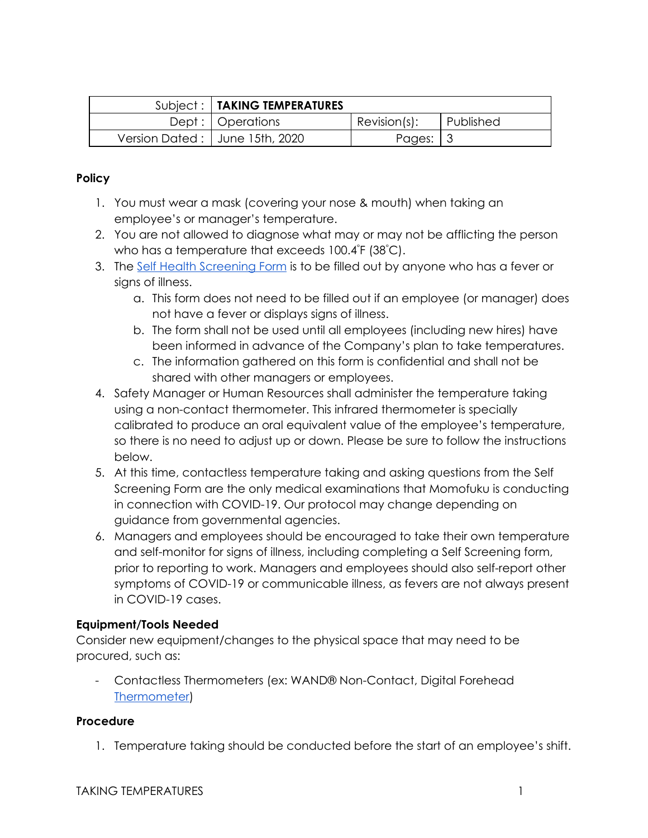| Subject:   TAKING TEMPERATURES   |              |           |
|----------------------------------|--------------|-----------|
| Dept :   Operations              | Recision(s): | Published |
| Version Dated:   June 15th, 2020 | Pages: $ 3$  |           |

## **Policy**

- 1. You must wear a mask (covering your nose & mouth) when taking an employee's or manager's temperature.
- 2. You are not allowed to diagnose what may or may not be afflicting the person who has a temperature that exceeds 100.4°F (38°C).
- 3. The [Self Health Screening Form](https://momofuku-assets.s3.amazonaws.com/uploads/2020/06/FORM_SELF-HEALTH-SCREENING-.pdf) is to be filled out by anyone who has a fever or sians of illness.
	- a. This form does not need to be filled out if an employee (or manager) does not have a fever or displays signs of illness.
	- b. The form shall not be used until all employees (including new hires) have been informed in advance of the Company's plan to take temperatures.
	- c. The information gathered on this form is confidential and shall not be shared with other managers or employees.
- 4. Safety Manager or Human Resources shall administer the temperature taking using a non-contact thermometer. This infrared thermometer is specially calibrated to produce an oral equivalent value of the employee's temperature, so there is no need to adjust up or down. Please be sure to follow the instructions below.
- 5. At this time, contactless temperature taking and asking questions from the Self Screening Form are the only medical examinations that Momofuku is conducting in connection with COVID-19. Our protocol may change depending on guidance from governmental agencies.
- 6. Managers and employees should be encouraged to take their own temperature and self-monitor for signs of illness, including completing a Self Screening form, prior to reporting to work. Managers and employees should also self-report other symptoms of COVID-19 or communicable illness, as fevers are not always present in COVID-19 cases.

# **Equipment/Tools Needed**

Consider new equipment/changes to the physical space that may need to be procured, such as:

- Contactless Thermometers (ex: WAND® Non-Contact, Digital Forehead [Thermometer\)](https://www.thermoworks.com/wand)

## **Procedure**

1. Temperature taking should be conducted before the start of an employee's shift.